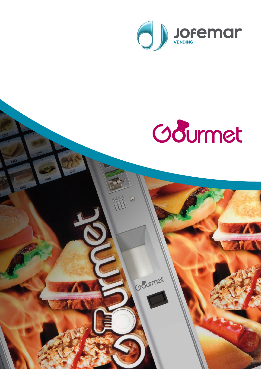



Coourmet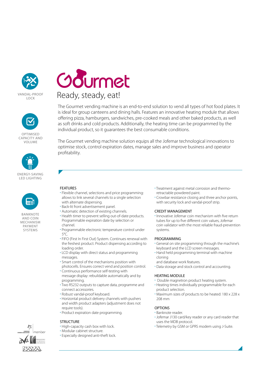







BANKNOTE AND COIN MECHANISM PAYMENT **SYSTEMS** 



The Gourmet vending machine is an end-to-end solution to vend all types of hot food plates. It is ideal for group canteens and dining halls. Features an innovative heating module that allows offering pizza, hamburgers, sandwiches, pre-cooked meals and other baked products, as well as soft drinks and cold products. Additionally, the heating time can be programmed by the individual product, so it guarantees the best consumable conditions.

The Gourmet vending machine solution equips all the Jofemar technological innovations to optimise stock, control expiration dates, manage sales and improve business and operator profitability.

## FEATURES

- Flexible channel, selections and price programming: allows to link several channels to a single selection with alternate dispensing.
- Back-lit front advertisement panel.
- Automatic detection of existing channels.
- Health timer to prevent selling out-of-date products. Programmable expiration date by selection or channel.
- Programmable electronic temperature control under 5°C.
- FIFO (First In First Out) System. Continues renewal with the freshest product. Product dispensing according to loading order.
- LCD display with direct status and programming messages.
- Smart control of the mechanisms position with photocells. Ensures correct vend and position control.
- Continuous performance self-testing with message display: rebuildable automatically and by programming.
- Two RS232 outputs to capture data, programme and connect accessories.
- Robust vandal-proof keyboard.
- Horizontal product delivery channels with pushers and width product adapters (adjustment does not require tools).
- Product expiration date programming.

### **STRUCTURE**

- High-capacity cash box with lock.
- Modular cabinet structure.
- Especially designed anti-theft lock.
- Treatment against metal corrosion and thermoretractable powdered paint.
- Crowbar resistance closing and three anchor points, with security lock and vandal-proof strip.

### CREDIT MANAGEMENT

• Innovative Jofemar coin mechanism with five return tubes for up to five different coin values, Jofemar coin validator with the most reliable fraud-prevention systems.

### PROGRAMMING

- General on site programming through the machine's keyboard and the LCD screen messages.
- Hand held programming terminal with machine cloning
- and database work features. • Data storage and stock control and accounting.

### HEATING MODULE

- Double magnetron product heating system.
- Heating times individually programmable for each product selection.
- Maximum sizes of products to be heated: 180 x 228 x 208 mm

### **OPTIONS**

- Banknote reader.
- Jofemar J130 card/key reader or any card reader that uses the MDB protocol.
- Telemetry by GSM or GPRS modem using J-Suite.

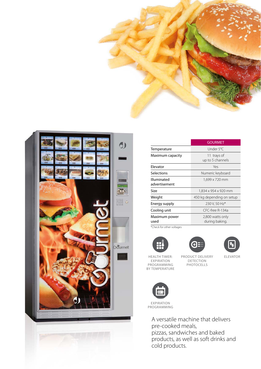



|                           | <b>GOURMET</b>            |
|---------------------------|---------------------------|
| Temperature               | Under 5°C                 |
| Maximum capacity          | 11 trays of               |
|                           | up to 5 channels          |
| Flevator                  | Yes                       |
| Selections                | Numeric keyboard          |
| Illuminated               | 1,699 x 720 mm            |
| advertisement             |                           |
| Size                      | 1,834 x 954 x 920 mm      |
| Weight                    | 450 kg depending on setup |
| Energy supply             | 230 V, 50 Hz*             |
| Cooling unit              | CFC-free R-134a           |
| Maximum power             | 2,800 watts only          |
| used                      | during baking.            |
| *Check for other voltages |                           |







HEALTH TIMER: EXPIRATION PROGRAMMING BY TEMPERATURE PRODUCT DELIVERY DETECTION **PHOTOCELLS** 

ELEVATOR



EXPIRATION PROGRAMMING

> A versatile machine that delivers pre-cooked meals, pizzas, sandwiches and baked products, as well as soft drinks and cold products.